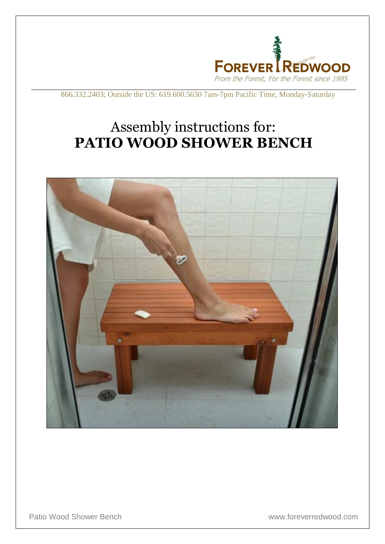

866.332.2403; Outside the US: 619.600.5630 7am-7pm Pacific Time, Monday-Saturday

## Assembly instructions for: **PATIO WOOD SHOWER BENCH**



Patio Wood Shower Bench **Water and Shower Bench** www.foreverredwood.com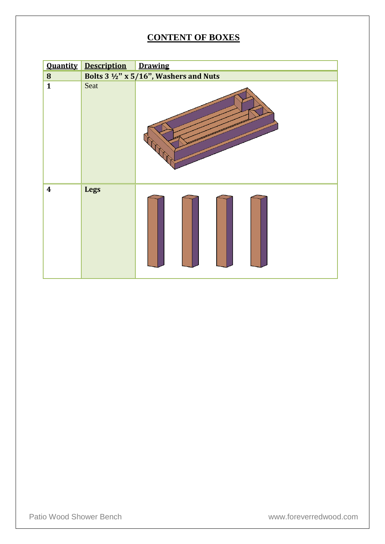## **CONTENT OF BOXES**

|                  | <b>Quantity Description</b>            | <b>Drawing</b> |
|------------------|----------------------------------------|----------------|
| ${\bf 8}$        | Bolts 3 1/2" x 5/16", Washers and Nuts |                |
| $\mathbf{1}$     | Seat                                   |                |
| $\boldsymbol{4}$ | <b>Legs</b>                            |                |